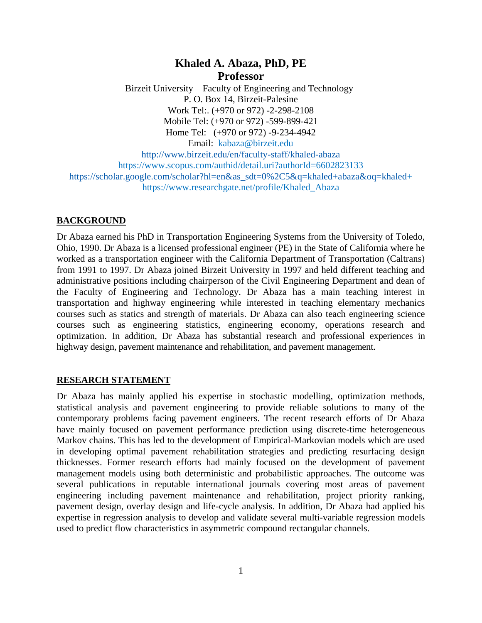# **Khaled A. Abaza, PhD, PE Professor**

 Birzeit University – Faculty of Engineering and Technology P. O. Box 14, Birzeit-Palesine Work Tel:. (+970 or 972) -2-298-2108 Mobile Tel: (+970 or 972) -599-899-421 Home Tel: (+970 or 972) -9-234-4942 Email: kabaza@birzeit.edu

<http://www.birzeit.edu/en/faculty-staff/khaled-abaza> https://www.scopus.com/authid/detail.uri?authorId=6602823133 [https://scholar.google.com/scholar?hl=en&as\\_sdt=0%2C5&q=khaled+abaza&oq=khaled+](https://scholar.google.com/scholar?hl=en&as_sdt=0%2C5&q=khaled+abaza&oq=khaled) https://www.researchgate.net/profile/Khaled\_Abaza

### **BACKGROUND**

Dr Abaza earned his PhD in Transportation Engineering Systems from the University of Toledo, Ohio, 1990. Dr Abaza is a licensed professional engineer (PE) in the State of California where he worked as a transportation engineer with the California Department of Transportation (Caltrans) from 1991 to 1997. Dr Abaza joined Birzeit University in 1997 and held different teaching and administrative positions including chairperson of the Civil Engineering Department and dean of the Faculty of Engineering and Technology. Dr Abaza has a main teaching interest in transportation and highway engineering while interested in teaching elementary mechanics courses such as statics and strength of materials. Dr Abaza can also teach engineering science courses such as engineering statistics, engineering economy, operations research and optimization. In addition, Dr Abaza has substantial research and professional experiences in highway design, pavement maintenance and rehabilitation, and pavement management.

### **RESEARCH STATEMENT**

Dr Abaza has mainly applied his expertise in stochastic modelling, optimization methods, statistical analysis and pavement engineering to provide reliable solutions to many of the contemporary problems facing pavement engineers. The recent research efforts of Dr Abaza have mainly focused on pavement performance prediction using discrete-time heterogeneous Markov chains. This has led to the development of Empirical-Markovian models which are used in developing optimal pavement rehabilitation strategies and predicting resurfacing design thicknesses. Former research efforts had mainly focused on the development of pavement management models using both deterministic and probabilistic approaches. The outcome was several publications in reputable international journals covering most areas of pavement engineering including pavement maintenance and rehabilitation, project priority ranking, pavement design, overlay design and life-cycle analysis. In addition, Dr Abaza had applied his expertise in regression analysis to develop and validate several multi-variable regression models used to predict flow characteristics in asymmetric compound rectangular channels.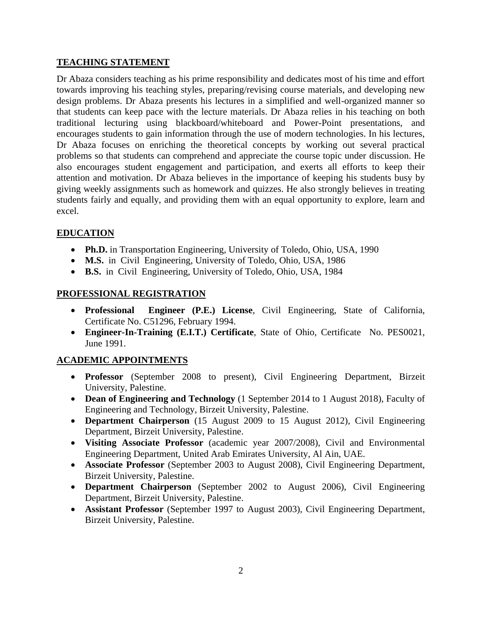### **TEACHING STATEMENT**

Dr Abaza considers teaching as his prime responsibility and dedicates most of his time and effort towards improving his teaching styles, preparing/revising course materials, and developing new design problems. Dr Abaza presents his lectures in a simplified and well-organized manner so that students can keep pace with the lecture materials. Dr Abaza relies in his teaching on both traditional lecturing using blackboard/whiteboard and Power-Point presentations, and encourages students to gain information through the use of modern technologies. In his lectures, Dr Abaza focuses on enriching the theoretical concepts by working out several practical problems so that students can comprehend and appreciate the course topic under discussion. He also encourages student engagement and participation, and exerts all efforts to keep their attention and motivation. Dr Abaza believes in the importance of keeping his students busy by giving weekly assignments such as homework and quizzes. He also strongly believes in treating students fairly and equally, and providing them with an equal opportunity to explore, learn and excel.

# **EDUCATION**

- **Ph.D.** in Transportation Engineering, University of Toledo, Ohio, USA, 1990
- **M.S.** in Civil Engineering, University of Toledo, Ohio, USA, 1986
- **B.S.** in Civil Engineering, University of Toledo, Ohio, USA, 1984

# **PROFESSIONAL REGISTRATION**

- **Professional Engineer (P.E.) License**, Civil Engineering, State of California, Certificate No. C51296, February 1994.
- **Engineer-In-Training (E.I.T.) Certificate**, State of Ohio, Certificate No. PES0021, June 1991.

# **ACADEMIC APPOINTMENTS**

- **Professor** (September 2008 to present), Civil Engineering Department, Birzeit University, Palestine.
- **Dean of Engineering and Technology** (1 September 2014 to 1 August 2018), Faculty of Engineering and Technology, Birzeit University, Palestine.
- **Department Chairperson** (15 August 2009 to 15 August 2012), Civil Engineering Department, Birzeit University, Palestine.
- **Visiting Associate Professor** (academic year 2007/2008), Civil and Environmental Engineering Department, United Arab Emirates University, Al Ain, UAE.
- **Associate Professor** (September 2003 to August 2008), Civil Engineering Department, Birzeit University, Palestine.
- **Department Chairperson** (September 2002 to August 2006), Civil Engineering Department, Birzeit University, Palestine.
- **Assistant Professor** (September 1997 to August 2003), Civil Engineering Department, Birzeit University, Palestine.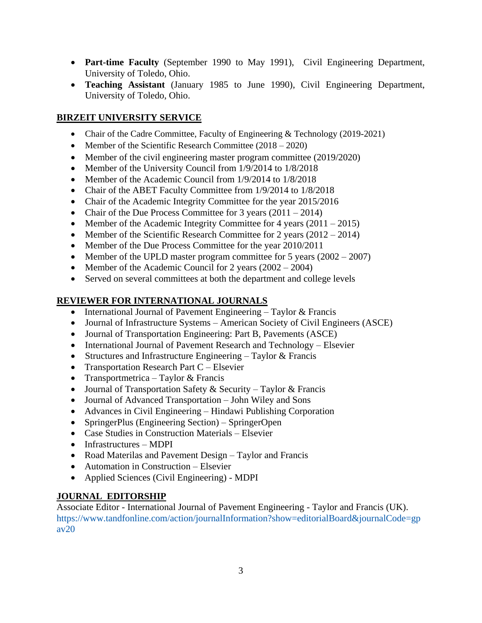- **Part-time Faculty** (September 1990 to May 1991), Civil Engineering Department, University of Toledo, Ohio.
- **Teaching Assistant** (January 1985 to June 1990), Civil Engineering Department, University of Toledo, Ohio.

# **BIRZEIT UNIVERSITY SERVICE**

- Chair of the Cadre Committee, Faculty of Engineering & Technology (2019-2021)
- Member of the Scientific Research Committee  $(2018 2020)$
- Member of the civil engineering master program committee (2019/2020)
- Member of the University Council from 1/9/2014 to 1/8/2018
- Member of the Academic Council from 1/9/2014 to 1/8/2018
- Chair of the ABET Faculty Committee from 1/9/2014 to 1/8/2018
- Chair of the Academic Integrity Committee for the year 2015/2016
- Chair of the Due Process Committee for 3 years  $(2011 2014)$
- Member of the Academic Integrity Committee for 4 years  $(2011 2015)$
- Member of the Scientific Research Committee for 2 years  $(2012 2014)$
- Member of the Due Process Committee for the year 2010/2011
- Member of the UPLD master program committee for 5 years  $(2002 2007)$
- Member of the Academic Council for 2 years  $(2002 2004)$
- Served on several committees at both the department and college levels

# **REVIEWER FOR INTERNATIONAL JOURNALS**

- International Journal of Pavement Engineering Taylor & Francis
- Journal of Infrastructure Systems American Society of Civil Engineers (ASCE)
- Journal of Transportation Engineering: Part B, Pavements (ASCE)
- International Journal of Pavement Research and Technology Elsevier
- Structures and Infrastructure Engineering Taylor  $&$  Francis
- Transportation Research Part  $C$  Elsevier
- Transportmetrica Taylor & Francis
- Journal of Transportation Safety & Security Taylor & Francis
- Journal of Advanced Transportation John Wiley and Sons
- Advances in Civil Engineering Hindawi Publishing Corporation
- SpringerPlus (Engineering Section) SpringerOpen
- Case Studies in Construction Materials Elsevier
- Infrastructures MDPI
- Road Materilas and Pavement Design Taylor and Francis
- Automation in Construction Elsevier
- Applied Sciences (Civil Engineering) MDPI

# **JOURNAL EDITORSHIP**

Associate Editor - International Journal of Pavement Engineering - Taylor and Francis (UK). [https://www.tandfonline.com/action/journalInformation?show=editorialBoard&journalCode=gp](https://www.tandfonline.com/action/journalInformation?show=editorialBoard&journalCode=gpav20) [av20](https://www.tandfonline.com/action/journalInformation?show=editorialBoard&journalCode=gpav20)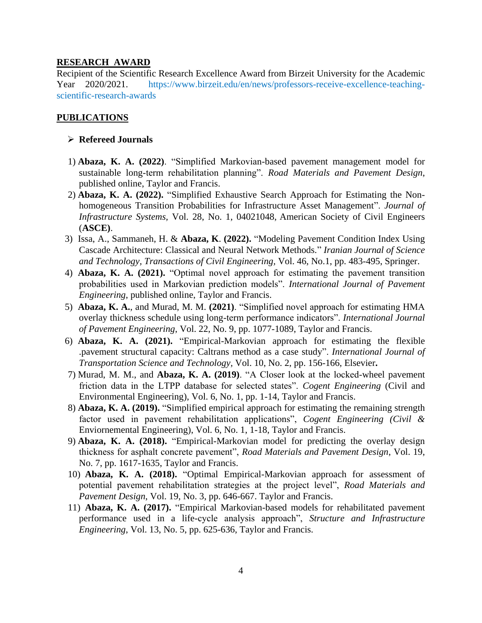#### **RESEARCH AWARD**

Recipient of the Scientific Research Excellence Award from Birzeit University for the Academic Year 2020/2021. https://www.birzeit.edu/en/news/professors-receive-excellence-teachingscientific-research-awards

#### **PUBLICATIONS**

#### **Refereed Journals**

- 1) **Abaza, K. A. (2022)**. "Simplified Markovian-based pavement management model for sustainable long-term rehabilitation planning". *Road Materials and Pavement Design*, published online, Taylor and Francis.
- 2) **Abaza, K. A. (2022).** "Simplified Exhaustive Search Approach for Estimating the Nonhomogeneous Transition Probabilities for Infrastructure Asset Management". *Journal of Infrastructure Systems,* Vol. 28, No. 1, 04021048, American Society of Civil Engineers (**ASCE)**.
- 3) Issa, A., Sammaneh, H. & **Abaza, K**. **(2022).** "Modeling Pavement Condition Index Using Cascade Architecture: Classical and Neural Network Methods." *Iranian Journal of Science and Technology, Transactions of Civil Engineering,* Vol. 46, No.1, pp. 483-495, Springer.
- 4) **Abaza, K. A. (2021).** "Optimal novel approach for estimating the pavement transition probabilities used in Markovian prediction models". *International Journal of Pavement Engineering*, published online, Taylor and Francis.
- 5) **Abaza, K. A.**, and Murad, M. M. **(2021)**. "Simplified novel approach for estimating HMA overlay thickness schedule using long-term performance indicators". *International Journal of Pavement Engineering*, Vol. 22, No. 9, pp. 1077-1089, Taylor and Francis.
- 6) **Abaza, K. A. (2021).** "Empirical-Markovian approach for estimating the flexible .pavement structural capacity: Caltrans method as a case study". *International Journal of Transportation Science and Technology,* Vol. 10, No. 2, pp. 156-166, Elsevier**.**
- 7) Murad, M. M., and **Abaza, K. A. (2019)**. "A Closer look at the locked-wheel pavement friction data in the LTPP database for selected states". *Cogent Engineering* (Civil and Environmental Engineering), Vol. 6, No. 1, pp. 1-14, Taylor and Francis.
- 8) **Abaza, K. A. (2019).** "Simplified empirical approach for estimating the remaining strength factor used in pavement rehabilitation applications", *Cogent Engineering (Civil &* Enviornemental Engineering), Vol. 6, No. 1, 1-18, Taylor and Francis.
- 9) **Abaza, K. A. (2018).** "Empirical-Markovian model for predicting the overlay design thickness for asphalt concrete pavement", *Road Materials and Pavement Design*, Vol. 19, No. 7, pp. 1617-1635, Taylor and Francis.
- 10) **Abaza, K. A. (2018).** "Optimal Empirical-Markovian approach for assessment of potential pavement rehabilitation strategies at the project level", *Road Materials and Pavement Design*, Vol. 19, No. 3, pp. 646-667. Taylor and Francis.
- 11) **Abaza, K. A. (2017).** "Empirical Markovian-based models for rehabilitated pavement performance used in a life-cycle analysis approach", *Structure and Infrastructure Engineering*, Vol. 13, No. 5, pp. 625-636, Taylor and Francis.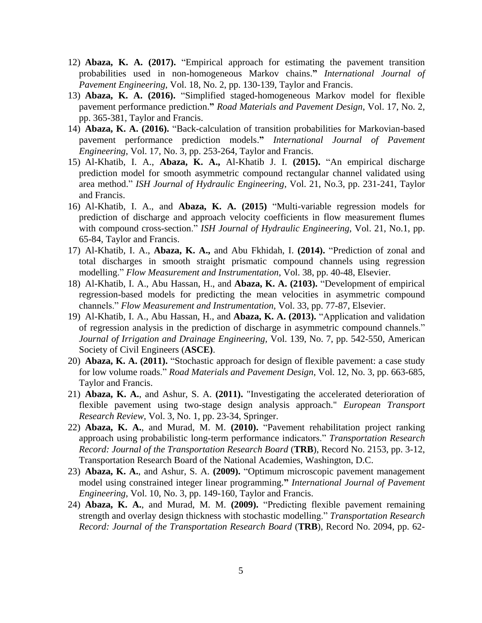- 12) **Abaza, K. A. (2017).** "Empirical approach for estimating the pavement transition probabilities used in non-homogeneous Markov chains.**"** *International Journal of Pavement Engineering*, Vol. 18, No. 2, pp. 130-139, Taylor and Francis.
- 13) **Abaza, K. A. (2016).** "Simplified staged-homogeneous Markov model for flexible pavement performance prediction.**"** *Road Materials and Pavement Design*, Vol. 17, No. 2, pp. 365-381, Taylor and Francis.
- 14) **Abaza, K. A. (2016).** "Back-calculation of transition probabilities for Markovian-based pavement performance prediction models.**"** *International Journal of Pavement Engineering*, Vol. 17, No. 3, pp. 253-264, Taylor and Francis.
- 15) Al-Khatib, I. A., **Abaza, K. A.,** Al-Khatib J. I. **(2015).** "An empirical discharge prediction model for smooth asymmetric compound rectangular channel validated using area method." *ISH Journal of Hydraulic Engineering*, Vol. 21, No.3, pp. 231-241, Taylor and Francis.
- 16) Al-Khatib, I. A., and **Abaza, K. A. (2015)** "Multi-variable regression models for prediction of discharge and approach velocity coefficients in flow measurement flumes with compound cross-section." *ISH Journal of Hydraulic Engineering*, Vol. 21, No.1, pp. 65-84, Taylor and Francis.
- 17) Al-Khatib, I. A., **Abaza, K. A.,** and Abu Fkhidah, I. **(2014).** "Prediction of zonal and total discharges in smooth straight prismatic compound channels using regression modelling." *Flow Measurement and Instrumentation*, Vol. 38, pp. 40-48, Elsevier.
- 18) Al-Khatib, I. A., Abu Hassan, H., and **Abaza, K. A. (2103).** "Development of empirical regression-based models for predicting the mean velocities in asymmetric compound channels." *Flow Measurement and Instrumentation*, Vol. 33, pp. 77-87, Elsevier.
- 19) Al-Khatib, I. A., Abu Hassan, H., and **Abaza, K. A. (2013).** "Application and validation of regression analysis in the prediction of discharge in asymmetric compound channels." *Journal of Irrigation and Drainage Engineering,* Vol. 139, No. 7, pp. 542-550, American Society of Civil Engineers (**ASCE)**.
- 20) **Abaza, K. A. (2011).** "Stochastic approach for design of flexible pavement: a case study for low volume roads." *Road Materials and Pavement Design*, Vol. 12, No. 3, pp. 663-685, Taylor and Francis.
- 21) **Abaza, K. A.**, and Ashur, S. A. **(2011).** "Investigating the accelerated deterioration of flexible pavement using two-stage design analysis approach." *European Transport Research Review*, Vol. 3, No. 1, pp. 23-34, Springer.
- 22) **Abaza, K. A.**, and Murad, M. M. **(2010).** "Pavement rehabilitation project ranking approach using probabilistic long-term performance indicators." *Transportation Research Record: Journal of the Transportation Research Board* (**TRB**), Record No. 2153, pp. 3-12, Transportation Research Board of the National Academies, Washington, D.C.
- 23) **Abaza, K. A.**, and Ashur, S. A. **(2009).** "Optimum microscopic pavement management model using constrained integer linear programming.**"** *International Journal of Pavement Engineering*, Vol. 10, No. 3, pp. 149-160, Taylor and Francis.
- 24) **Abaza, K. A.**, and Murad, M. M. **(2009).** "Predicting flexible pavement remaining strength and overlay design thickness with stochastic modelling." *Transportation Research Record: Journal of the Transportation Research Board* (**TRB**), Record No. 2094, pp. 62-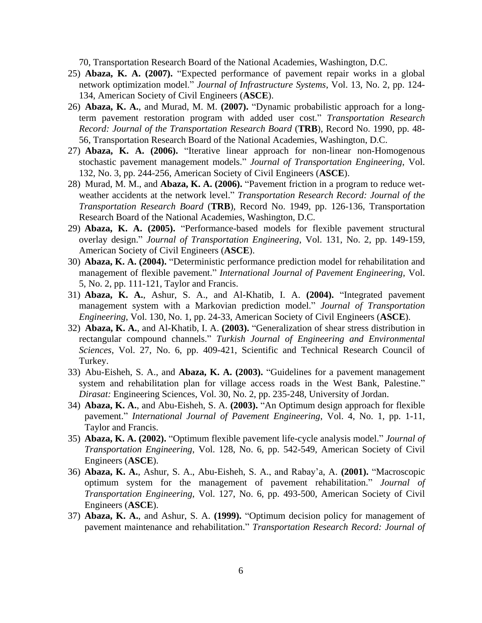70, Transportation Research Board of the National Academies, Washington, D.C.

- 25) **Abaza, K. A. (2007).** "Expected performance of pavement repair works in a global network optimization model." *Journal of Infrastructure Systems*, Vol. 13, No. 2, pp. 124- 134, American Society of Civil Engineers (**ASCE**).
- 26) **Abaza, K. A.**, and Murad, M. M. **(2007).** "Dynamic probabilistic approach for a longterm pavement restoration program with added user cost." *Transportation Research Record: Journal of the Transportation Research Board* (**TRB**), Record No. 1990, pp. 48- 56, Transportation Research Board of the National Academies, Washington, D.C.
- 27) **Abaza, K. A. (2006).** "Iterative linear approach for non-linear non-Homogenous stochastic pavement management models." *Journal of Transportation Engineering*, Vol. 132, No. 3, pp. 244-256, American Society of Civil Engineers (**ASCE**).
- 28) Murad, M. M., and **Abaza, K. A. (2006).** "Pavement friction in a program to reduce wetweather accidents at the network level." *Transportation Research Record: Journal of the Transportation Research Board* (**TRB**), Record No. 1949, pp. 126-136, Transportation Research Board of the National Academies, Washington, D.C.
- 29) **Abaza, K. A. (2005).** "Performance-based models for flexible pavement structural overlay design." *Journal of Transportation Engineering*, Vol. 131, No. 2, pp. 149-159, American Society of Civil Engineers (**ASCE**).
- 30) **Abaza, K. A. (2004).** "Deterministic performance prediction model for rehabilitation and management of flexible pavement." *International Journal of Pavement Engineering*, Vol. 5, No. 2, pp. 111-121, Taylor and Francis.
- 31) **Abaza, K. A.**, Ashur, S. A., and Al-Khatib, I. A. **(2004).** "Integrated pavement management system with a Markovian prediction model." *Journal of Transportation Engineering*, Vol. 130, No. 1, pp. 24-33, American Society of Civil Engineers (**ASCE**).
- 32) **Abaza, K. A.**, and Al-Khatib, I. A. **(2003).** "Generalization of shear stress distribution in rectangular compound channels." *Turkish Journal of Engineering and Environmental Sciences*, Vol. 27, No. 6, pp. 409-421, Scientific and Technical Research Council of Turkey.
- 33) Abu-Eisheh, S. A., and **Abaza, K. A. (2003).** "Guidelines for a pavement management system and rehabilitation plan for village access roads in the West Bank, Palestine." *Dirasat:* Engineering Sciences, Vol. 30, No. 2, pp. 235-248, University of Jordan.
- 34) **Abaza, K. A.**, and Abu-Eisheh, S. A. **(2003).** "An Optimum design approach for flexible pavement." *International Journal of Pavement Engineering*, Vol. 4, No. 1, pp. 1-11, Taylor and Francis.
- 35) **Abaza, K. A. (2002).** "Optimum flexible pavement life-cycle analysis model." *Journal of Transportation Engineering*, Vol. 128, No. 6, pp. 542-549, American Society of Civil Engineers (**ASCE**).
- 36) **Abaza, K. A.**, Ashur, S. A., Abu-Eisheh, S. A., and Rabay'a, A. **(2001).** "Macroscopic optimum system for the management of pavement rehabilitation." *Journal of Transportation Engineering*, Vol. 127, No. 6, pp. 493-500, American Society of Civil Engineers (**ASCE**).
- 37) **Abaza, K. A.**, and Ashur, S. A. **(1999).** "Optimum decision policy for management of pavement maintenance and rehabilitation." *Transportation Research Record: Journal of*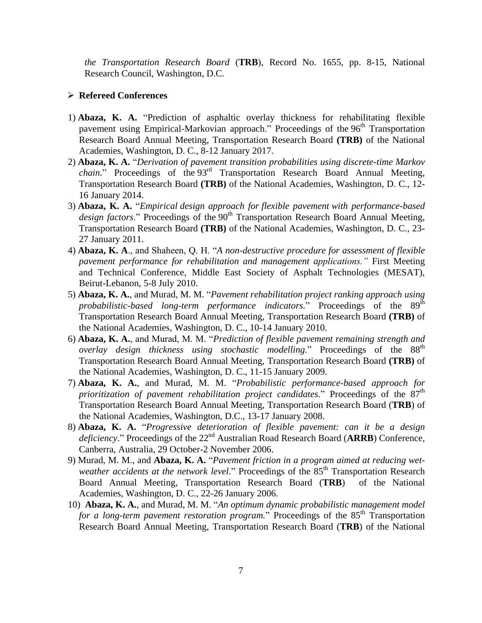*the Transportation Research Board* (**TRB**), Record No. 1655, pp. 8-15, National Research Council, Washington, D.C.

### **Refereed Conferences**

- 1) **Abaza, K. A.** "Prediction of asphaltic overlay thickness for rehabilitating flexible pavement using Empirical-Markovian approach." Proceedings of the 96<sup>th</sup> Transportation Research Board Annual Meeting, Transportation Research Board **(TRB)** of the National Academies, Washington, D. C., 8-12 January 2017.
- 2) **Abaza, K. A.** "*Derivation of pavement transition probabilities using discrete-time Markov*  chain." Proceedings of the 93<sup>rd</sup> Transportation Research Board Annual Meeting, Transportation Research Board **(TRB)** of the National Academies, Washington, D. C., 12- 16 January 2014.
- 3) **Abaza, K. A.** "*Empirical design approach for flexible pavement with performance-based design factors*." Proceedings of the 90<sup>th</sup> Transportation Research Board Annual Meeting, Transportation Research Board **(TRB)** of the National Academies, Washington, D. C., 23- 27 January 2011.
- 4) **Abaza, K. A**., and Shaheen, Q. H. "*A non-destructive procedure for assessment of flexible pavement performance for rehabilitation and management applications."* First Meeting and Technical Conference, Middle East Society of Asphalt Technologies (MESAT), Beirut-Lebanon, 5-8 July 2010.
- 5) **Abaza, K. A.**, and Murad, M. M. "*Pavement rehabilitation project ranking approach using*  probabilistic-based long-term performance indicators." Proceedings of the 89<sup>th</sup> Transportation Research Board Annual Meeting, Transportation Research Board **(TRB)** of the National Academies, Washington, D. C., 10-14 January 2010.
- 6) **Abaza, K. A.**, and Murad, M. M. "*Prediction of flexible pavement remaining strength and*  overlay design thickness using stochastic modelling." Proceedings of the 88<sup>th</sup> Transportation Research Board Annual Meeting, Transportation Research Board **(TRB)** of the National Academies, Washington, D. C., 11-15 January 2009.
- 7) **Abaza, K. A.**, and Murad, M. M. "*Probabilistic performance-based approach for*  prioritization of pavement rehabilitation project candidates." Proceedings of the  $87<sup>th</sup>$ Transportation Research Board Annual Meeting, Transportation Research Board (**TRB**) of the National Academies, Washington, D.C., 13-17 January 2008.
- 8) **Abaza, K. A.** "*Progressive deterioration of flexible pavement: can it be a design*  deficiency." Proceedings of the 22<sup>nd</sup> Australian Road Research Board (**ARRB**) Conference, Canberra, Australia, 29 October-2 November 2006.
- 9) Murad, M. M., and **Abaza, K. A.** "*Pavement friction in a program aimed at reducing wetweather accidents at the network level.*" Proceedings of the 85<sup>th</sup> Transportation Research Board Annual Meeting, Transportation Research Board (**TRB**) of the National Academies, Washington, D. C., 22-26 January 2006.
- 10) **Abaza, K. A.**, and Murad, M. M. "*An optimum dynamic probabilistic management model for a long-term pavement restoration program.*" Proceedings of the 85<sup>th</sup> Transportation Research Board Annual Meeting, Transportation Research Board (**TRB**) of the National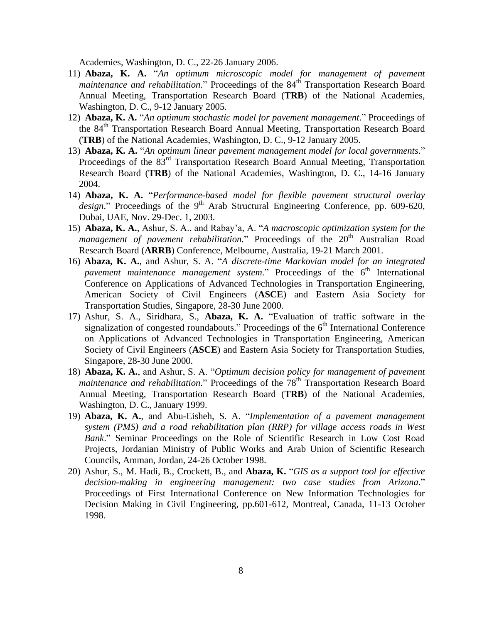Academies, Washington, D. C., 22-26 January 2006.

- 11) **Abaza, K. A.** "*An optimum microscopic model for management of pavement maintenance and rehabilitation*." Proceedings of the 84<sup>th</sup> Transportation Research Board Annual Meeting, Transportation Research Board (**TRB**) of the National Academies, Washington, D. C., 9-12 January 2005.
- 12) **Abaza, K. A.** "*An optimum stochastic model for pavement management*." Proceedings of the 84<sup>th</sup> Transportation Research Board Annual Meeting, Transportation Research Board (**TRB**) of the National Academies, Washington, D. C., 9-12 January 2005.
- 13) **Abaza, K. A.** "*An optimum linear pavement management model for local governments*." Proceedings of the 83<sup>rd</sup> Transportation Research Board Annual Meeting, Transportation Research Board (**TRB**) of the National Academies, Washington, D. C., 14-16 January 2004.
- 14) **Abaza, K. A.** "*Performance-based model for flexible pavement structural overlay design*." Proceedings of the 9<sup>th</sup> Arab Structural Engineering Conference, pp. 609-620, Dubai, UAE, Nov. 29-Dec. 1, 2003.
- 15) **Abaza, K. A.**, Ashur, S. A., and Rabay'a, A. "*A macroscopic optimization system for the management of pavement rehabilitation.*" Proceedings of the 20<sup>th</sup> Australian Road Research Board (**ARRB**) Conference, Melbourne, Australia, 19-21 March 2001.
- 16) **Abaza, K. A.**, and Ashur, S. A. "*A discrete-time Markovian model for an integrated pavement maintenance management system.*" Proceedings of the 6<sup>th</sup> International Conference on Applications of Advanced Technologies in Transportation Engineering, American Society of Civil Engineers (**ASCE**) and Eastern Asia Society for Transportation Studies, Singapore, 28-30 June 2000.
- 17) Ashur, S. A., Siridhara, S., **Abaza, K. A.** "Evaluation of traffic software in the signalization of congested roundabouts." Proceedings of the  $6<sup>th</sup>$  International Conference on Applications of Advanced Technologies in Transportation Engineering, American Society of Civil Engineers (**ASCE**) and Eastern Asia Society for Transportation Studies, Singapore, 28-30 June 2000.
- 18) **Abaza, K. A.**, and Ashur, S. A. "*Optimum decision policy for management of pavement*  maintenance and rehabilitation." Proceedings of the 78<sup>th</sup> Transportation Research Board Annual Meeting, Transportation Research Board (**TRB**) of the National Academies, Washington, D. C., January 1999.
- 19) **Abaza, K. A.**, and Abu-Eisheh, S. A. "*Implementation of a pavement management system (PMS) and a road rehabilitation plan (RRP) for village access roads in West Bank*." Seminar Proceedings on the Role of Scientific Research in Low Cost Road Projects, Jordanian Ministry of Public Works and Arab Union of Scientific Research Councils, Amman, Jordan, 24-26 October 1998.
- 20) Ashur, S., M. Hadi, B., Crockett, B., and **Abaza, K.** "*GIS as a support tool for effective decision-making in engineering management: two case studies from Arizona*." Proceedings of First International Conference on New Information Technologies for Decision Making in Civil Engineering, pp.601-612, Montreal, Canada, 11-13 October 1998.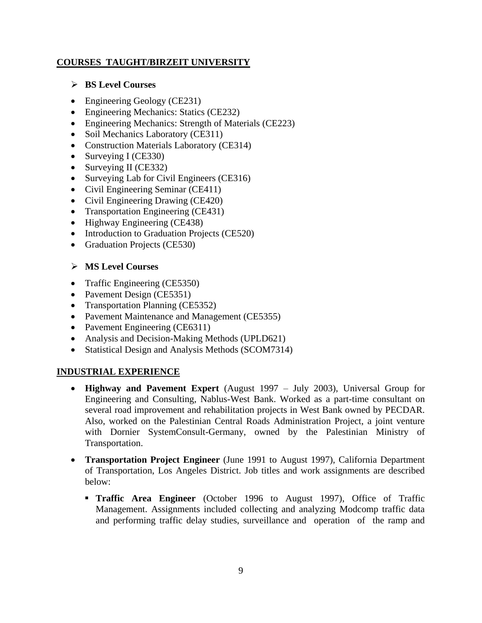## **COURSES TAUGHT/BIRZEIT UNIVERSITY**

### **BS Level Courses**

- Engineering Geology (CE231)
- Engineering Mechanics: Statics (CE232)
- Engineering Mechanics: Strength of Materials (CE223)
- Soil Mechanics Laboratory (CE311)
- Construction Materials Laboratory (CE314)
- Surveying I (CE330)
- Surveying II (CE332)
- Surveying Lab for Civil Engineers (CE316)
- Civil Engineering Seminar (CE411)
- Civil Engineering Drawing (CE420)
- Transportation Engineering (CE431)
- Highway Engineering (CE438)
- Introduction to Graduation Projects (CE520)
- Graduation Projects (CE530)

### **MS Level Courses**

- Traffic Engineering (CE5350)
- Pavement Design (CE5351)
- Transportation Planning (CE5352)
- Pavement Maintenance and Management (CE5355)
- Pavement Engineering (CE6311)
- Analysis and Decision-Making Methods (UPLD621)
- Statistical Design and Analysis Methods (SCOM7314)

### **INDUSTRIAL EXPERIENCE**

- **Highway and Pavement Expert** (August 1997 July 2003), Universal Group for Engineering and Consulting, Nablus-West Bank. Worked as a part-time consultant on several road improvement and rehabilitation projects in West Bank owned by PECDAR. Also, worked on the Palestinian Central Roads Administration Project, a joint venture with Dornier SystemConsult-Germany, owned by the Palestinian Ministry of Transportation.
- **Transportation Project Engineer** (June 1991 to August 1997), California Department of Transportation, Los Angeles District. Job titles and work assignments are described below:
	- **Traffic Area Engineer** (October 1996 to August 1997), Office of Traffic Management. Assignments included collecting and analyzing Modcomp traffic data and performing traffic delay studies, surveillance and operation of the ramp and